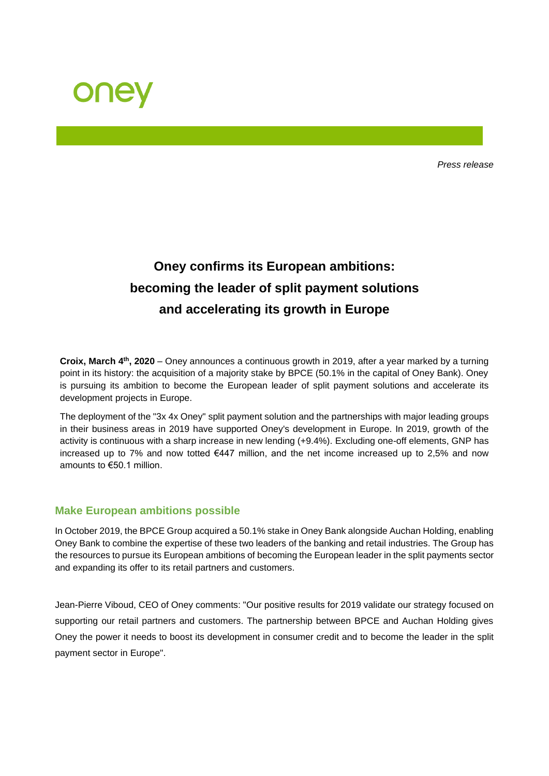

*Press release*

# **Oney confirms its European ambitions: becoming the leader of split payment solutions and accelerating its growth in Europe**

**Croix, March 4<sup>th</sup>, 2020** – Oney announces a continuous growth in 2019, after a year marked by a turning point in its history: the acquisition of a majority stake by BPCE (50.1% in the capital of Oney Bank). Oney is pursuing its ambition to become the European leader of split payment solutions and accelerate its development projects in Europe.

The deployment of the "3x 4x Oney" split payment solution and the partnerships with major leading groups in their business areas in 2019 have supported Oney's development in Europe. In 2019, growth of the activity is continuous with a sharp increase in new lending (+9.4%). Excluding one-off elements, GNP has increased up to 7% and now totted €447 million, and the net income increased up to 2,5% and now amounts to €50.1 million.

### **Make European ambitions possible**

In October 2019, the BPCE Group acquired a 50.1% stake in Oney Bank alongside Auchan Holding, enabling Oney Bank to combine the expertise of these two leaders of the banking and retail industries. The Group has the resources to pursue its European ambitions of becoming the European leader in the split payments sector and expanding its offer to its retail partners and customers.

Jean-Pierre Viboud, CEO of Oney comments: "Our positive results for 2019 validate our strategy focused on supporting our retail partners and customers. The partnership between BPCE and Auchan Holding gives Oney the power it needs to boost its development in consumer credit and to become the leader in the split payment sector in Europe".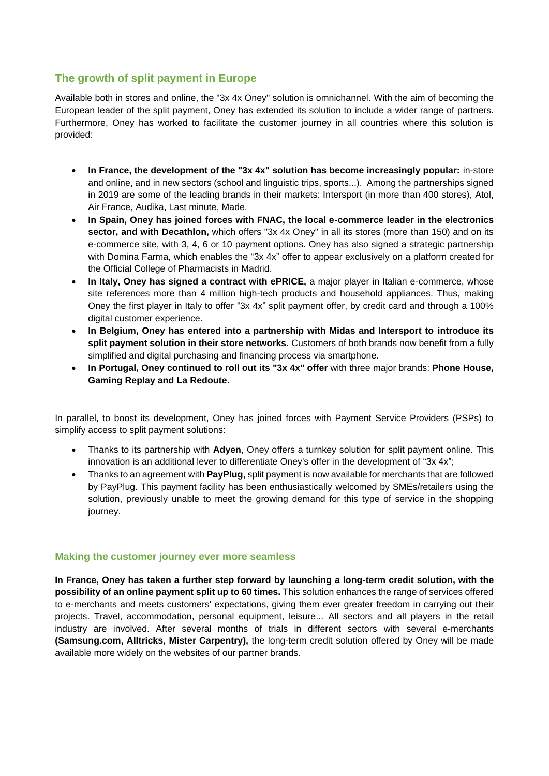## **The growth of split payment in Europe**

Available both in stores and online, the "3x 4x Oney" solution is omnichannel. With the aim of becoming the European leader of the split payment, Oney has extended its solution to include a wider range of partners. Furthermore, Oney has worked to facilitate the customer journey in all countries where this solution is provided:

- **In France, the development of the "3x 4x" solution has become increasingly popular:** in-store and online, and in new sectors (school and linguistic trips, sports...). Among the partnerships signed in 2019 are some of the leading brands in their markets: Intersport (in more than 400 stores), Atol, Air France, Audika, Last minute, Made.
- **In Spain, Oney has joined forces with FNAC, the local e-commerce leader in the electronics sector, and with Decathlon,** which offers "3x 4x Oney" in all its stores (more than 150) and on its e-commerce site, with 3, 4, 6 or 10 payment options. Oney has also signed a strategic partnership with Domina Farma, which enables the "3x 4x" offer to appear exclusively on a platform created for the Official College of Pharmacists in Madrid.
- **In Italy, Oney has signed a contract with ePRICE,** a major player in Italian e-commerce, whose site references more than 4 million high-tech products and household appliances. Thus, making Oney the first player in Italy to offer "3x 4x" split payment offer, by credit card and through a 100% digital customer experience.
- **In Belgium, Oney has entered into a partnership with Midas and Intersport to introduce its split payment solution in their store networks.** Customers of both brands now benefit from a fully simplified and digital purchasing and financing process via smartphone.
- **In Portugal, Oney continued to roll out its "3x 4x" offer** with three major brands: **Phone House, Gaming Replay and La Redoute.**

In parallel, to boost its development, Oney has joined forces with Payment Service Providers (PSPs) to simplify access to split payment solutions:

- Thanks to its partnership with **Adyen**, Oney offers a turnkey solution for split payment online. This innovation is an additional lever to differentiate Oney's offer in the development of "3x 4x";
- Thanks to an agreement with **PayPlug**, split payment is now available for merchants that are followed by PayPlug. This payment facility has been enthusiastically welcomed by SMEs/retailers using the solution, previously unable to meet the growing demand for this type of service in the shopping journey.

#### **Making the customer journey ever more seamless**

**In France, Oney has taken a further step forward by launching a long-term credit solution, with the possibility of an online payment split up to 60 times.** This solution enhances the range of services offered to e-merchants and meets customers' expectations, giving them ever greater freedom in carrying out their projects. Travel, accommodation, personal equipment, leisure... All sectors and all players in the retail industry are involved. After several months of trials in different sectors with several e-merchants **(Samsung.com, Alltricks, Mister Carpentry),** the long-term credit solution offered by Oney will be made available more widely on the websites of our partner brands.